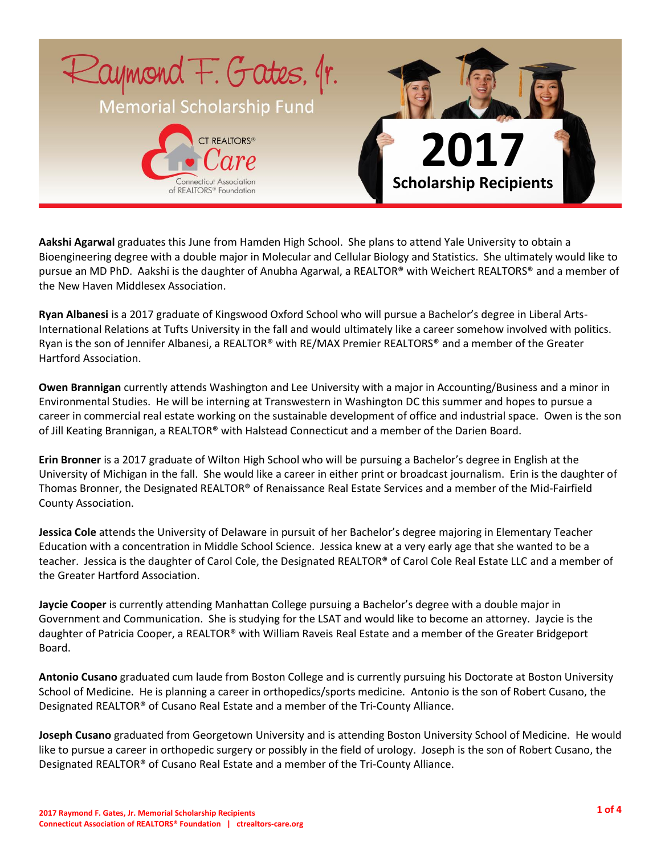

**Aakshi Agarwal** graduates this June from Hamden High School. She plans to attend Yale University to obtain a Bioengineering degree with a double major in Molecular and Cellular Biology and Statistics. She ultimately would like to pursue an MD PhD. Aakshi is the daughter of Anubha Agarwal, a REALTOR® with Weichert REALTORS® and a member of the New Haven Middlesex Association.

**Ryan Albanesi** is a 2017 graduate of Kingswood Oxford School who will pursue a Bachelor's degree in Liberal Arts-International Relations at Tufts University in the fall and would ultimately like a career somehow involved with politics. Ryan is the son of Jennifer Albanesi, a REALTOR® with RE/MAX Premier REALTORS® and a member of the Greater Hartford Association.

**Owen Brannigan** currently attends Washington and Lee University with a major in Accounting/Business and a minor in Environmental Studies. He will be interning at Transwestern in Washington DC this summer and hopes to pursue a career in commercial real estate working on the sustainable development of office and industrial space. Owen is the son of Jill Keating Brannigan, a REALTOR® with Halstead Connecticut and a member of the Darien Board.

**Erin Bronner** is a 2017 graduate of Wilton High School who will be pursuing a Bachelor's degree in English at the University of Michigan in the fall. She would like a career in either print or broadcast journalism. Erin is the daughter of Thomas Bronner, the Designated REALTOR® of Renaissance Real Estate Services and a member of the Mid-Fairfield County Association.

**Jessica Cole** attends the University of Delaware in pursuit of her Bachelor's degree majoring in Elementary Teacher Education with a concentration in Middle School Science. Jessica knew at a very early age that she wanted to be a teacher. Jessica is the daughter of Carol Cole, the Designated REALTOR® of Carol Cole Real Estate LLC and a member of the Greater Hartford Association.

**Jaycie Cooper** is currently attending Manhattan College pursuing a Bachelor's degree with a double major in Government and Communication. She is studying for the LSAT and would like to become an attorney. Jaycie is the daughter of Patricia Cooper, a REALTOR® with William Raveis Real Estate and a member of the Greater Bridgeport Board.

**Antonio Cusano** graduated cum laude from Boston College and is currently pursuing his Doctorate at Boston University School of Medicine. He is planning a career in orthopedics/sports medicine. Antonio is the son of Robert Cusano, the Designated REALTOR® of Cusano Real Estate and a member of the Tri-County Alliance.

**Joseph Cusano** graduated from Georgetown University and is attending Boston University School of Medicine. He would like to pursue a career in orthopedic surgery or possibly in the field of urology. Joseph is the son of Robert Cusano, the Designated REALTOR® of Cusano Real Estate and a member of the Tri-County Alliance.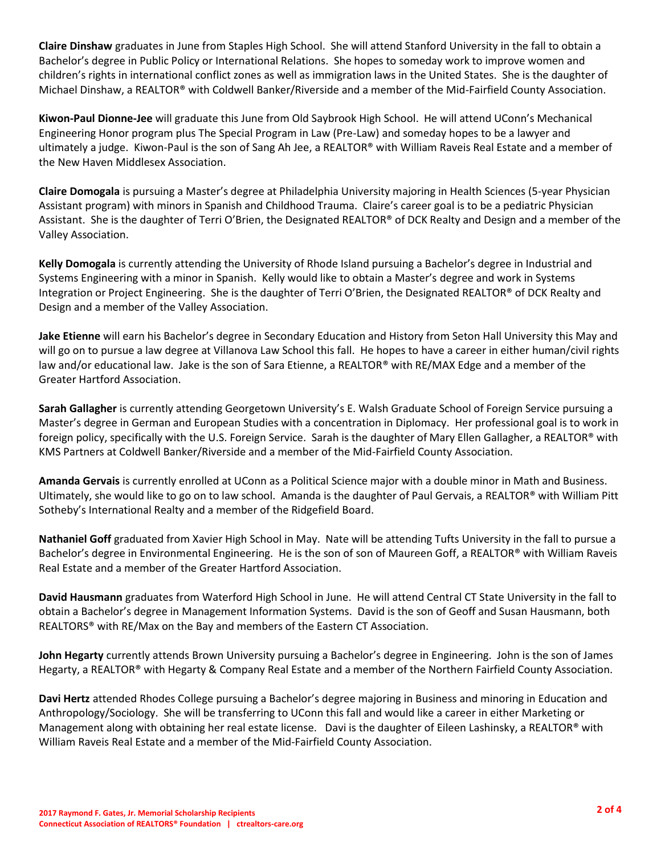**Claire Dinshaw** graduates in June from Staples High School. She will attend Stanford University in the fall to obtain a Bachelor's degree in Public Policy or International Relations. She hopes to someday work to improve women and children's rights in international conflict zones as well as immigration laws in the United States. She is the daughter of Michael Dinshaw, a REALTOR® with Coldwell Banker/Riverside and a member of the Mid-Fairfield County Association.

**Kiwon-Paul Dionne-Jee** will graduate this June from Old Saybrook High School. He will attend UConn's Mechanical Engineering Honor program plus The Special Program in Law (Pre-Law) and someday hopes to be a lawyer and ultimately a judge. Kiwon-Paul is the son of Sang Ah Jee, a REALTOR® with William Raveis Real Estate and a member of the New Haven Middlesex Association.

**Claire Domogala** is pursuing a Master's degree at Philadelphia University majoring in Health Sciences (5-year Physician Assistant program) with minors in Spanish and Childhood Trauma. Claire's career goal is to be a pediatric Physician Assistant. She is the daughter of Terri O'Brien, the Designated REALTOR® of DCK Realty and Design and a member of the Valley Association.

**Kelly Domogala** is currently attending the University of Rhode Island pursuing a Bachelor's degree in Industrial and Systems Engineering with a minor in Spanish. Kelly would like to obtain a Master's degree and work in Systems Integration or Project Engineering. She is the daughter of Terri O'Brien, the Designated REALTOR® of DCK Realty and Design and a member of the Valley Association.

**Jake Etienne** will earn his Bachelor's degree in Secondary Education and History from Seton Hall University this May and will go on to pursue a law degree at Villanova Law School this fall. He hopes to have a career in either human/civil rights law and/or educational law. Jake is the son of Sara Etienne, a REALTOR® with RE/MAX Edge and a member of the Greater Hartford Association.

**Sarah Gallagher** is currently attending Georgetown University's E. Walsh Graduate School of Foreign Service pursuing a Master's degree in German and European Studies with a concentration in Diplomacy. Her professional goal is to work in foreign policy, specifically with the U.S. Foreign Service. Sarah is the daughter of Mary Ellen Gallagher, a REALTOR® with KMS Partners at Coldwell Banker/Riverside and a member of the Mid-Fairfield County Association.

**Amanda Gervais** is currently enrolled at UConn as a Political Science major with a double minor in Math and Business. Ultimately, she would like to go on to law school. Amanda is the daughter of Paul Gervais, a REALTOR® with William Pitt Sotheby's International Realty and a member of the Ridgefield Board.

**Nathaniel Goff** graduated from Xavier High School in May. Nate will be attending Tufts University in the fall to pursue a Bachelor's degree in Environmental Engineering. He is the son of son of Maureen Goff, a REALTOR® with William Raveis Real Estate and a member of the Greater Hartford Association.

**David Hausmann** graduates from Waterford High School in June. He will attend Central CT State University in the fall to obtain a Bachelor's degree in Management Information Systems. David is the son of Geoff and Susan Hausmann, both REALTORS® with RE/Max on the Bay and members of the Eastern CT Association.

**John Hegarty** currently attends Brown University pursuing a Bachelor's degree in Engineering. John is the son of James Hegarty, a REALTOR® with Hegarty & Company Real Estate and a member of the Northern Fairfield County Association.

**Davi Hertz** attended Rhodes College pursuing a Bachelor's degree majoring in Business and minoring in Education and Anthropology/Sociology. She will be transferring to UConn this fall and would like a career in either Marketing or Management along with obtaining her real estate license. Davi is the daughter of Eileen Lashinsky, a REALTOR® with William Raveis Real Estate and a member of the Mid-Fairfield County Association.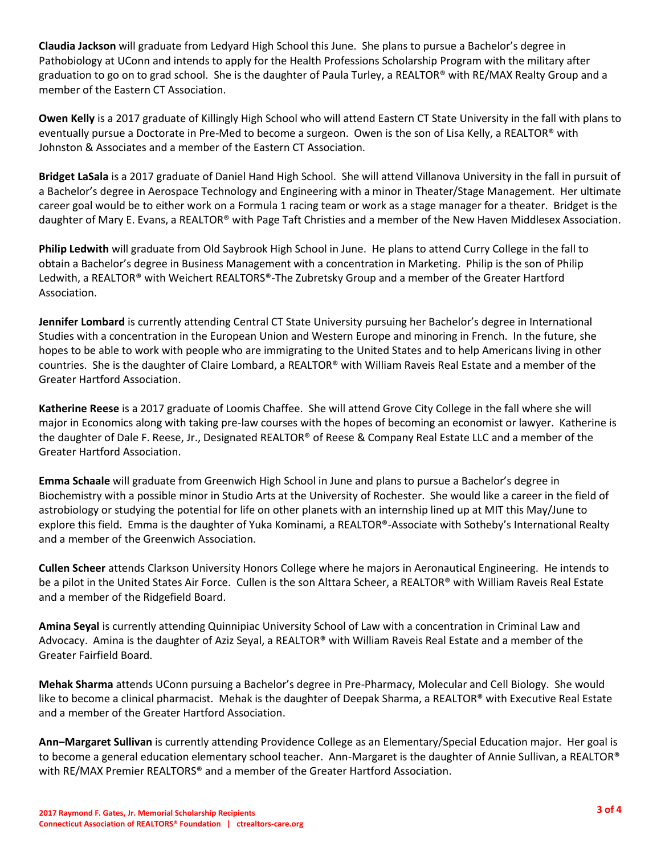**Claudia Jackson** will graduate from Ledyard High School this June. She plans to pursue a Bachelor's degree in Pathobiology at UConn and intends to apply for the Health Professions Scholarship Program with the military after graduation to go on to grad school. She is the daughter of Paula Turley, a REALTOR® with RE/MAX Realty Group and a member of the Eastern CT Association.

**Owen Kelly** is a 2017 graduate of Killingly High School who will attend Eastern CT State University in the fall with plans to eventually pursue a Doctorate in Pre-Med to become a surgeon. Owen is the son of Lisa Kelly, a REALTOR® with Johnston & Associates and a member of the Eastern CT Association.

**Bridget LaSala** is a 2017 graduate of Daniel Hand High School. She will attend Villanova University in the fall in pursuit of a Bachelor's degree in Aerospace Technology and Engineering with a minor in Theater/Stage Management. Her ultimate career goal would be to either work on a Formula 1 racing team or work as a stage manager for a theater. Bridget is the daughter of Mary E. Evans, a REALTOR® with Page Taft Christies and a member of the New Haven Middlesex Association.

**Philip Ledwith** will graduate from Old Saybrook High School in June. He plans to attend Curry College in the fall to obtain a Bachelor's degree in Business Management with a concentration in Marketing. Philip is the son of Philip Ledwith, a REALTOR® with Weichert REALTORS®-The Zubretsky Group and a member of the Greater Hartford Association.

**Jennifer Lombard** is currently attending Central CT State University pursuing her Bachelor's degree in International Studies with a concentration in the European Union and Western Europe and minoring in French. In the future, she hopes to be able to work with people who are immigrating to the United States and to help Americans living in other countries. She is the daughter of Claire Lombard, a REALTOR® with William Raveis Real Estate and a member of the Greater Hartford Association.

**Katherine Reese** is a 2017 graduate of Loomis Chaffee. She will attend Grove City College in the fall where she will major in Economics along with taking pre-law courses with the hopes of becoming an economist or lawyer. Katherine is the daughter of Dale F. Reese, Jr., Designated REALTOR® of Reese & Company Real Estate LLC and a member of the Greater Hartford Association.

**Emma Schaale** will graduate from Greenwich High School in June and plans to pursue a Bachelor's degree in Biochemistry with a possible minor in Studio Arts at the University of Rochester. She would like a career in the field of astrobiology or studying the potential for life on other planets with an internship lined up at MIT this May/June to explore this field. Emma is the daughter of Yuka Kominami, a REALTOR®-Associate with Sotheby's International Realty and a member of the Greenwich Association.

**Cullen Scheer** attends Clarkson University Honors College where he majors in Aeronautical Engineering. He intends to be a pilot in the United States Air Force. Cullen is the son Alttara Scheer, a REALTOR® with William Raveis Real Estate and a member of the Ridgefield Board.

**Amina Seyal** is currently attending Quinnipiac University School of Law with a concentration in Criminal Law and Advocacy. Amina is the daughter of Aziz Seyal, a REALTOR® with William Raveis Real Estate and a member of the Greater Fairfield Board.

**Mehak Sharma** attends UConn pursuing a Bachelor's degree in Pre-Pharmacy, Molecular and Cell Biology. She would like to become a clinical pharmacist. Mehak is the daughter of Deepak Sharma, a REALTOR® with Executive Real Estate and a member of the Greater Hartford Association.

**Ann–Margaret Sullivan** is currently attending Providence College as an Elementary/Special Education major. Her goal is to become a general education elementary school teacher. Ann-Margaret is the daughter of Annie Sullivan, a REALTOR® with RE/MAX Premier REALTORS® and a member of the Greater Hartford Association.